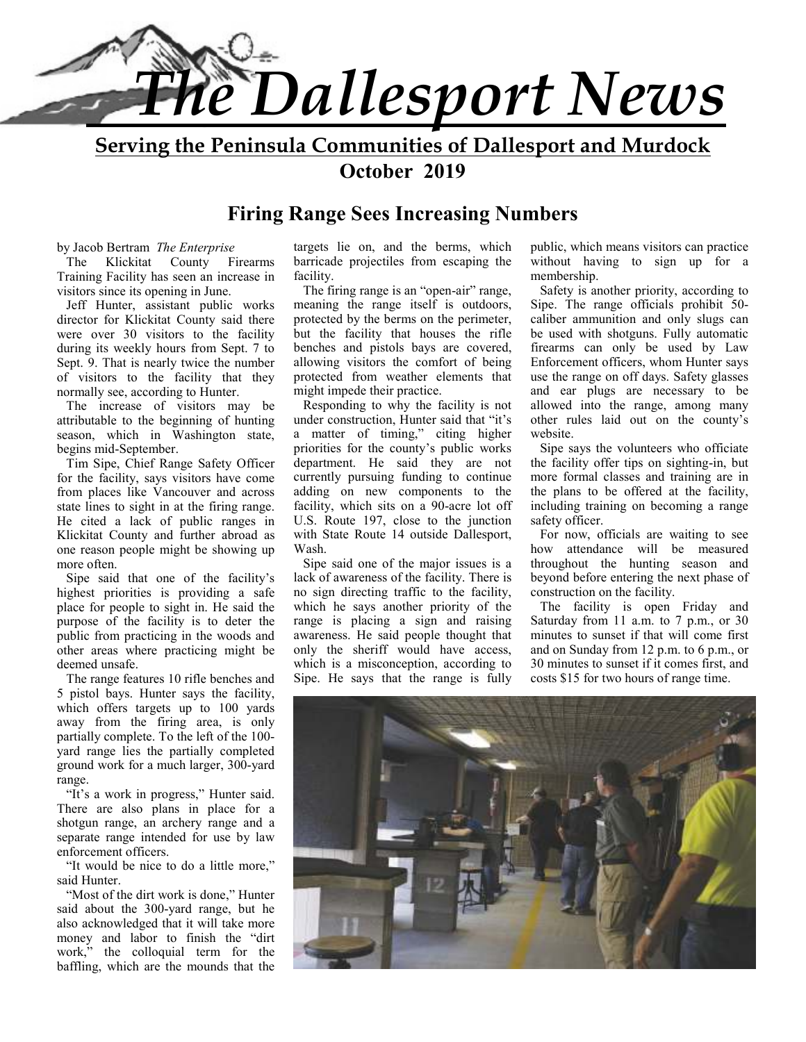

**Serving the Peninsula Communities of Dallesport and Murdock October 2019** 

## **Firing Range Sees Increasing Numbers**

#### by Jacob Bertram *The Enterprise*

The Klickitat County Firearms Training Facility has seen an increase in visitors since its opening in June.

Jeff Hunter, assistant public works director for Klickitat County said there were over 30 visitors to the facility during its weekly hours from Sept. 7 to Sept. 9. That is nearly twice the number of visitors to the facility that they normally see, according to Hunter.

The increase of visitors may be attributable to the beginning of hunting season, which in Washington state, begins mid-September.

Tim Sipe, Chief Range Safety Officer for the facility, says visitors have come from places like Vancouver and across state lines to sight in at the firing range. He cited a lack of public ranges in Klickitat County and further abroad as one reason people might be showing up more often.

Sipe said that one of the facility's highest priorities is providing a safe place for people to sight in. He said the purpose of the facility is to deter the public from practicing in the woods and other areas where practicing might be deemed unsafe.

The range features 10 rifle benches and 5 pistol bays. Hunter says the facility, which offers targets up to 100 yards away from the firing area, is only partially complete. To the left of the 100 yard range lies the partially completed ground work for a much larger, 300-yard range.

"It's a work in progress," Hunter said. There are also plans in place for a shotgun range, an archery range and a separate range intended for use by law enforcement officers.

"It would be nice to do a little more," said Hunter

"Most of the dirt work is done," Hunter said about the 300-yard range, but he also acknowledged that it will take more money and labor to finish the "dirt work," the colloquial term for the baffling, which are the mounds that the

targets lie on, and the berms, which barricade projectiles from escaping the facility.

The firing range is an "open-air" range, meaning the range itself is outdoors, protected by the berms on the perimeter, but the facility that houses the rifle benches and pistols bays are covered, allowing visitors the comfort of being protected from weather elements that might impede their practice.

Responding to why the facility is not under construction, Hunter said that "it's a matter of timing," citing higher priorities for the county's public works department. He said they are not currently pursuing funding to continue adding on new components to the facility, which sits on a 90-acre lot off U.S. Route 197, close to the junction with State Route 14 outside Dallesport, Wash.

Sipe said one of the major issues is a lack of awareness of the facility. There is no sign directing traffic to the facility, which he says another priority of the range is placing a sign and raising awareness. He said people thought that only the sheriff would have access, which is a misconception, according to Sipe. He says that the range is fully public, which means visitors can practice without having to sign up for a membership.

Safety is another priority, according to Sipe. The range officials prohibit 50 caliber ammunition and only slugs can be used with shotguns. Fully automatic firearms can only be used by Law Enforcement officers, whom Hunter says use the range on off days. Safety glasses and ear plugs are necessary to be allowed into the range, among many other rules laid out on the county's website.

Sipe says the volunteers who officiate the facility offer tips on sighting-in, but more formal classes and training are in the plans to be offered at the facility, including training on becoming a range safety officer.

For now, officials are waiting to see how attendance will be measured throughout the hunting season and beyond before entering the next phase of construction on the facility.

The facility is open Friday and Saturday from 11 a.m. to 7 p.m., or 30 minutes to sunset if that will come first and on Sunday from 12 p.m. to 6 p.m., or 30 minutes to sunset if it comes first, and costs \$15 for two hours of range time.

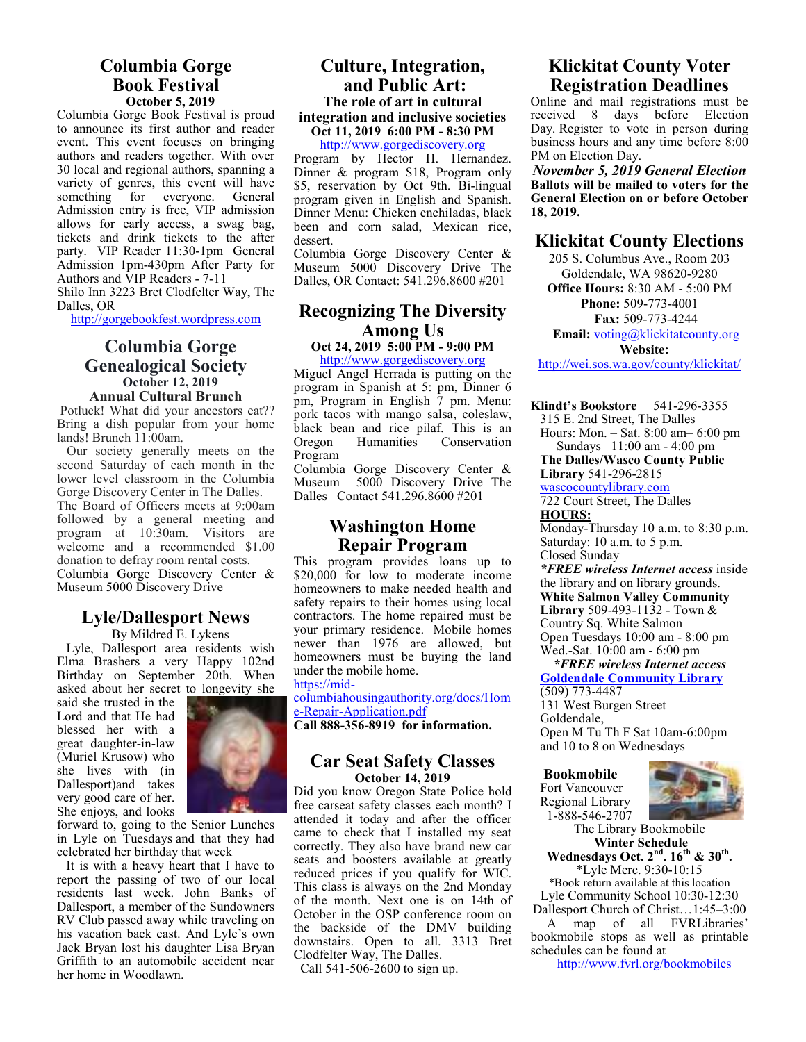## **Columbia Gorge Book Festival October 5, 2019**

Columbia Gorge Book Festival is proud to announce its first author and reader event. This event focuses on bringing authors and readers together. With over 30 local and regional authors, spanning a variety of genres, this event will have something for everyone. General Admission entry is free, VIP admission allows for early access, a swag bag, tickets and drink tickets to the after party. VIP Reader 11:30-1pm General Admission 1pm-430pm After Party for Authors and VIP Readers - 7-11 Shilo Inn 3223 Bret Clodfelter Way, The Dalles, OR

http://gorgebookfest.wordpress.com

#### **Columbia Gorge Genealogical Society October 12, 2019 Annual Cultural Brunch**

 Potluck! What did your ancestors eat?? Bring a dish popular from your home lands! Brunch 11:00am.

 Our society generally meets on the second Saturday of each month in the lower level classroom in the Columbia Gorge Discovery Center in The Dalles. The Board of Officers meets at 9:00am followed by a general meeting and program at 10:30am. Visitors are welcome and a recommended \$1.00 donation to defray room rental costs. Columbia Gorge Discovery Center & Museum 5000 Discovery Drive

## **Lyle/Dallesport News**

By Mildred E. Lykens Lyle, Dallesport area residents wish Elma Brashers a very Happy 102nd Birthday on September 20th. When asked about her secret to longevity she

said she trusted in the Lord and that He had blessed her with a great daughter-in-law (Muriel Krusow) who she lives with (in Dallesport)and takes very good care of her. She enjoys, and looks



forward to, going to the Senior Lunches in Lyle on Tuesdays and that they had celebrated her birthday that week

It is with a heavy heart that I have to report the passing of two of our local residents last week. John Banks of Dallesport, a member of the Sundowners RV Club passed away while traveling on his vacation back east. And Lyle's own Jack Bryan lost his daughter Lisa Bryan Griffith to an automobile accident near her home in Woodlawn.

## **Culture, Integration, and Public Art: The role of art in cultural integration and inclusive societies Oct 11, 2019 6:00 PM - 8:30 PM**

http://www.gorgediscovery.org

Program by Hector H. Hernandez. Dinner & program \$18, Program only \$5, reservation by Oct 9th. Bi-lingual program given in English and Spanish. Dinner Menu: Chicken enchiladas, black been and corn salad, Mexican rice, dessert.

Columbia Gorge Discovery Center & Museum 5000 Discovery Drive The Dalles, OR Contact: 541.296.8600 #201

## **Recognizing The Diversity Among Us Oct 24, 2019 5:00 PM - 9:00 PM**

## http://www.gorgediscovery.org

Miguel Angel Herrada is putting on the program in Spanish at 5: pm, Dinner 6 pm, Program in English 7 pm. Menu: pork tacos with mango salsa, coleslaw, black bean and rice pilaf. This is an Oregon Humanities Conservation Conservation Program

Columbia Gorge Discovery Center & Museum 5000 Discovery Drive The Dalles Contact 541.296.8600 #201

## **Washington Home Repair Program**

This program provides loans up to \$20,000 for low to moderate income homeowners to make needed health and safety repairs to their homes using local contractors. The home repaired must be your primary residence. Mobile homes newer than 1976 are allowed, but homeowners must be buying the land under the mobile home.

https://mid-

columbiahousingauthority.org/docs/Hom e-Repair-Application.pdf **Call 888-356-8919 for information.**

#### **Car Seat Safety Classes October 14, 2019**

Did you know Oregon State Police hold free carseat safety classes each month? I attended it today and after the officer came to check that I installed my seat correctly. They also have brand new car seats and boosters available at greatly reduced prices if you qualify for WIC. This class is always on the 2nd Monday of the month. Next one is on 14th of October in the OSP conference room on the backside of the DMV building downstairs. Open to all. 3313 Bret Clodfelter Way, The Dalles.

Call 541-506-2600 to sign up.

## **Klickitat County Voter Registration Deadlines**

Online and mail registrations must be received 8 days before Election Day. Register to vote in person during business hours and any time before 8:00 PM on Election Day.

*November 5, 2019 General Election*  **Ballots will be mailed to voters for the General Election on or before October 18, 2019.** 

## **Klickitat County Elections**

205 S. Columbus Ave., Room 203 Goldendale, WA 98620-9280 **Office Hours:** 8:30 AM - 5:00 PM **Phone:** 509-773-4001 **Fax:** 509-773-4244 Email: voting@klickitatcounty.org **Website:**

http://wei.sos.wa.gov/county/klickitat/

**Klindt's Bookstore** 541-296-3355

315 E. 2nd Street, The Dalles

Hours: Mon. – Sat. 8:00 am– 6:00 pm Sundays 11:00 am - 4:00 pm

**The Dalles/Wasco County Public Library** 541-296-2815

wascocountylibrary.com

722 Court Street, The Dalles **HOURS:** 

Monday-Thursday 10 a.m. to 8:30 p.m. Saturday: 10 a.m. to 5 p.m. Closed Sunday

*\*FREE wireless Internet access* inside the library and on library grounds. **White Salmon Valley Community Library** 509-493-1132 - Town & Country Sq. White Salmon Open Tuesdays 10:00 am - 8:00 pm Wed.-Sat. 10:00 am - 6:00 pm

 *\*FREE wireless Internet access*  **Goldendale Community Library**  (509) 773-4487

131 West Burgen Street Goldendale, Open M Tu Th F Sat 10am-6:00pm and 10 to 8 on Wednesdays

**Bookmobile** 

Fort Vancouver Regional Library 1-888-546-2707



The Library Bookmobile  **Winter Schedule Wednesdays Oct. 2nd. 16th & 30th .** 

\*Lyle Merc. 9:30-10:15 \*Book return available at this location Lyle Community School 10:30-12:30

Dallesport Church of Christ…1:45–3:00 A map of all FVRLibraries' bookmobile stops as well as printable schedules can be found at

http://www.fvrl.org/bookmobiles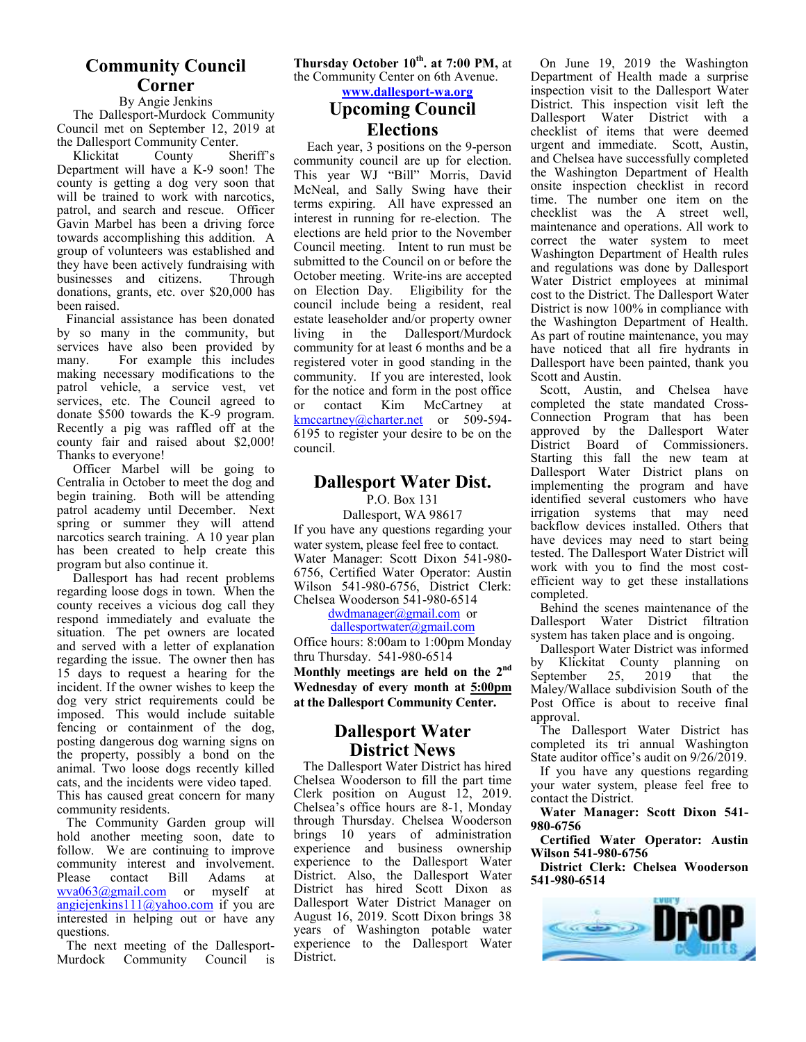## **Community Council Corner**

#### By Angie Jenkins

 The Dallesport-Murdock Community Council met on September 12, 2019 at the Dallesport Community Center.

 Klickitat County Sheriff's Department will have a K-9 soon! The county is getting a dog very soon that will be trained to work with narcotics, patrol, and search and rescue. Officer Gavin Marbel has been a driving force towards accomplishing this addition. A group of volunteers was established and they have been actively fundraising with businesses and citizens. Through donations, grants, etc. over \$20,000 has been raised.

Financial assistance has been donated by so many in the community, but services have also been provided by many. For example this includes making necessary modifications to the patrol vehicle, a service vest, vet services, etc. The Council agreed to donate \$500 towards the K-9 program. Recently a pig was raffled off at the county fair and raised about \$2,000! Thanks to everyone!

 Officer Marbel will be going to Centralia in October to meet the dog and begin training. Both will be attending patrol academy until December. Next spring or summer they will attend narcotics search training. A 10 year plan has been created to help create this program but also continue it.

 Dallesport has had recent problems regarding loose dogs in town. When the county receives a vicious dog call they respond immediately and evaluate the situation. The pet owners are located and served with a letter of explanation regarding the issue. The owner then has 15 days to request a hearing for the incident. If the owner wishes to keep the dog very strict requirements could be imposed. This would include suitable fencing or containment of the dog, posting dangerous dog warning signs on the property, possibly a bond on the animal. Two loose dogs recently killed cats, and the incidents were video taped. This has caused great concern for many community residents.

The Community Garden group will hold another meeting soon, date to follow. We are continuing to improve community interest and involvement. Please contact Bill Adams at wva063@gmail.com or myself at angiejenkins $11(\omega)$ yahoo.com if you are interested in helping out or have any questions.

The next meeting of the Dallesport-Murdock Community Council is **Thursday October 10th. at 7:00 PM,** at the Community Center on 6th Avenue.

**www.dallesport-wa.org**

## **Upcoming Council Elections**

 Each year, 3 positions on the 9-person community council are up for election. This year WJ "Bill" Morris, David McNeal, and Sally Swing have their terms expiring. All have expressed an interest in running for re-election. The elections are held prior to the November Council meeting. Intent to run must be submitted to the Council on or before the October meeting. Write-ins are accepted on Election Day. Eligibility for the council include being a resident, real estate leaseholder and/or property owner living in the Dallesport/Murdock community for at least 6 months and be a registered voter in good standing in the community. If you are interested, look for the notice and form in the post office or contact Kim McCartney at kmccartney@charter.net or 509-594-6195 to register your desire to be on the council.

## **Dallesport Water Dist.**

P.O. Box 131

Dallesport, WA 98617 If you have any questions regarding your water system, please feel free to contact. Water Manager: Scott Dixon 541-980- 6756, Certified Water Operator: Austin Wilson 541-980-6756, District Clerk: Chelsea Wooderson 541-980-6514

dwdmanager@gmail.com or

#### dallesportwater@gmail.com

Office hours: 8:00am to 1:00pm Monday thru Thursday. 541-980-6514

**Monthly meetings are held on the 2nd Wednesday of every month at 5:00pm at the Dallesport Community Center.** 

## **Dallesport Water District News**

The Dallesport Water District has hired Chelsea Wooderson to fill the part time Clerk position on August 12, 2019. Chelsea's office hours are 8-1, Monday through Thursday. Chelsea Wooderson brings 10 years of administration experience and business ownership experience to the Dallesport Water District. Also, the Dallesport Water District has hired Scott Dixon as Dallesport Water District Manager on August 16, 2019. Scott Dixon brings 38 years of Washington potable water experience to the Dallesport Water District.

On June 19, 2019 the Washington Department of Health made a surprise inspection visit to the Dallesport Water District. This inspection visit left the Dallesport Water District with a checklist of items that were deemed urgent and immediate. Scott, Austin, and Chelsea have successfully completed the Washington Department of Health onsite inspection checklist in record time. The number one item on the checklist was the A street well, maintenance and operations. All work to correct the water system to meet Washington Department of Health rules and regulations was done by Dallesport Water District employees at minimal cost to the District. The Dallesport Water District is now 100% in compliance with the Washington Department of Health. As part of routine maintenance, you may have noticed that all fire hydrants in Dallesport have been painted, thank you Scott and Austin.

Scott, Austin, and Chelsea have completed the state mandated Cross-Connection Program that has been approved by the Dallesport Water District Board of Commissioners. Starting this fall the new team at Dallesport Water District plans on implementing the program and have identified several customers who have irrigation systems that may need backflow devices installed. Others that have devices may need to start being tested. The Dallesport Water District will work with you to find the most costefficient way to get these installations completed.

Behind the scenes maintenance of the Dallesport Water District filtration system has taken place and is ongoing.

Dallesport Water District was informed by Klickitat County planning on September 25, 2019 that the Maley/Wallace subdivision South of the Post Office is about to receive final approval.

The Dallesport Water District has completed its tri annual Washington State auditor office's audit on 9/26/2019.

If you have any questions regarding your water system, please feel free to contact the District.

**Water Manager: Scott Dixon 541- 980-6756** 

**Certified Water Operator: Austin Wilson 541-980-6756** 

**District Clerk: Chelsea Wooderson 541-980-6514**

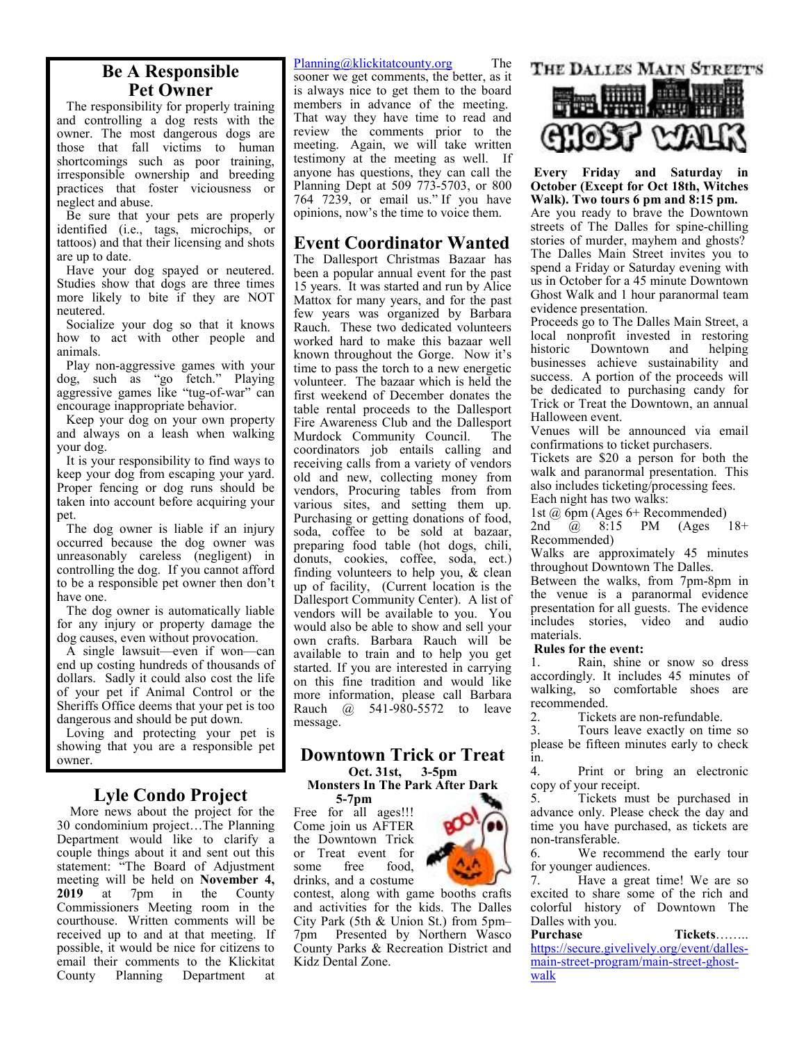## **Be A Responsible Pet Owner**

The responsibility for properly training and controlling a dog rests with the owner. The most dangerous dogs are those that fall victims to human shortcomings such as poor training, irresponsible ownership and breeding practices that foster viciousness or neglect and abuse.

Be sure that your pets are properly identified (i.e., tags, microchips, or tattoos) and that their licensing and shots are up to date.

Have your dog spayed or neutered. Studies show that dogs are three times more likely to bite if they are NOT neutered.

Socialize your dog so that it knows how to act with other people and animals.

Play non-aggressive games with your dog, such as "go fetch." Playing aggressive games like "tug-of-war" can encourage inappropriate behavior.

Keep your dog on your own property and always on a leash when walking your dog.

It is your responsibility to find ways to keep your dog from escaping your yard. Proper fencing or dog runs should be taken into account before acquiring your pet.

The dog owner is liable if an injury occurred because the dog owner was unreasonably careless (negligent) in controlling the dog. If you cannot afford to be a responsible pet owner then don't have one.

The dog owner is automatically liable for any injury or property damage the dog causes, even without provocation.

A single lawsuit—even if won—can end up costing hundreds of thousands of dollars. Sadly it could also cost the life of your pet if Animal Control or the Sheriffs Office deems that your pet is too dangerous and should be put down.

Loving and protecting your pet is showing that you are a responsible pet owner.

## **Lyle Condo Project**

 More news about the project for the 30 condominium project…The Planning Department would like to clarify a couple things about it and sent out this statement: "The Board of Adjustment meeting will be held on **November 4,**<br>**2019** at 7pm in the County 7pm in the Commissioners Meeting room in the courthouse. Written comments will be received up to and at that meeting. If possible, it would be nice for citizens to email their comments to the Klickitat County Planning Department at

#### Planning@klickitatcounty.org The

sooner we get comments, the better, as it is always nice to get them to the board members in advance of the meeting. That way they have time to read and review the comments prior to the meeting. Again, we will take written testimony at the meeting as well. If anyone has questions, they can call the Planning Dept at 509 773-5703, or 800 764 7239, or email us." If you have opinions, now's the time to voice them.

## **Event Coordinator Wanted**

The Dallesport Christmas Bazaar has been a popular annual event for the past 15 years. It was started and run by Alice Mattox for many years, and for the past few years was organized by Barbara Rauch. These two dedicated volunteers worked hard to make this bazaar well known throughout the Gorge. Now it's time to pass the torch to a new energetic volunteer. The bazaar which is held the first weekend of December donates the table rental proceeds to the Dallesport Fire Awareness Club and the Dallesport Murdock Community Council. The coordinators job entails calling and receiving calls from a variety of vendors old and new, collecting money from vendors, Procuring tables from from various sites, and setting them up. Purchasing or getting donations of food, soda, coffee to be sold at bazaar, preparing food table (hot dogs, chili, donuts, cookies, coffee, soda, ect.) finding volunteers to help you, & clean up of facility, (Current location is the Dallesport Community Center). A list of vendors will be available to you. You would also be able to show and sell your own crafts. Barbara Rauch will be available to train and to help you get started. If you are interested in carrying on this fine tradition and would like more information, please call Barbara Rauch @ 541-980-5572 to leave message.

## **Downtown Trick or Treat Oct. 31st, 3-5pm**

**Monsters In The Park After Dark 5-7pm** 

Free for all ages!!! Come join us AFTER the Downtown Trick or Treat event for some free food, drinks, and a costume

contest, along with game booths crafts and activities for the kids. The Dalles City Park (5th & Union St.) from 5pm– 7pm Presented by Northern Wasco County Parks & Recreation District and Kidz Dental Zone.



## THE DALLES MAIN STREET'S



**Every Friday and Saturday in October (Except for Oct 18th, Witches Walk). Two tours 6 pm and 8:15 pm.**

Are you ready to brave the Downtown streets of The Dalles for spine-chilling stories of murder, mayhem and ghosts? The Dalles Main Street invites you to spend a Friday or Saturday evening with us in October for a 45 minute Downtown Ghost Walk and 1 hour paranormal team evidence presentation.

Proceeds go to The Dalles Main Street, a local nonprofit invested in restoring Downtown and businesses achieve sustainability and success. A portion of the proceeds will be dedicated to purchasing candy for Trick or Treat the Downtown, an annual Halloween event.

Venues will be announced via email confirmations to ticket purchasers.

Tickets are \$20 a person for both the walk and paranormal presentation. This also includes ticketing/processing fees.

Each night has two walks:

1st @ 6pm (Ages 6+ Recommended)

2nd @ 8:15 PM (Ages 18+ Recommended)

Walks are approximately 45 minutes throughout Downtown The Dalles.

Between the walks, from 7pm-8pm in the venue is a paranormal evidence presentation for all guests. The evidence includes stories, video and audio materials.

#### **Rules for the event:**

1. Rain, shine or snow so dress accordingly. It includes 45 minutes of walking, so comfortable shoes are recommended.<br>2 Ticket

2. Tickets are non-refundable.<br>3. Tours leave exactly on time

Tours leave exactly on time so please be fifteen minutes early to check in.

4. Print or bring an electronic copy of your receipt.

5. Tickets must be purchased in advance only. Please check the day and time you have purchased, as tickets are non-transferable.

6. We recommend the early tour for younger audiences.<br>7 Have a great

Have a great time! We are so excited to share some of the rich and colorful history of Downtown The Dalles with you.

**Purchase Tickets**…….. https://secure.givelively.org/event/dallesmain-street-program/main-street-ghostwalk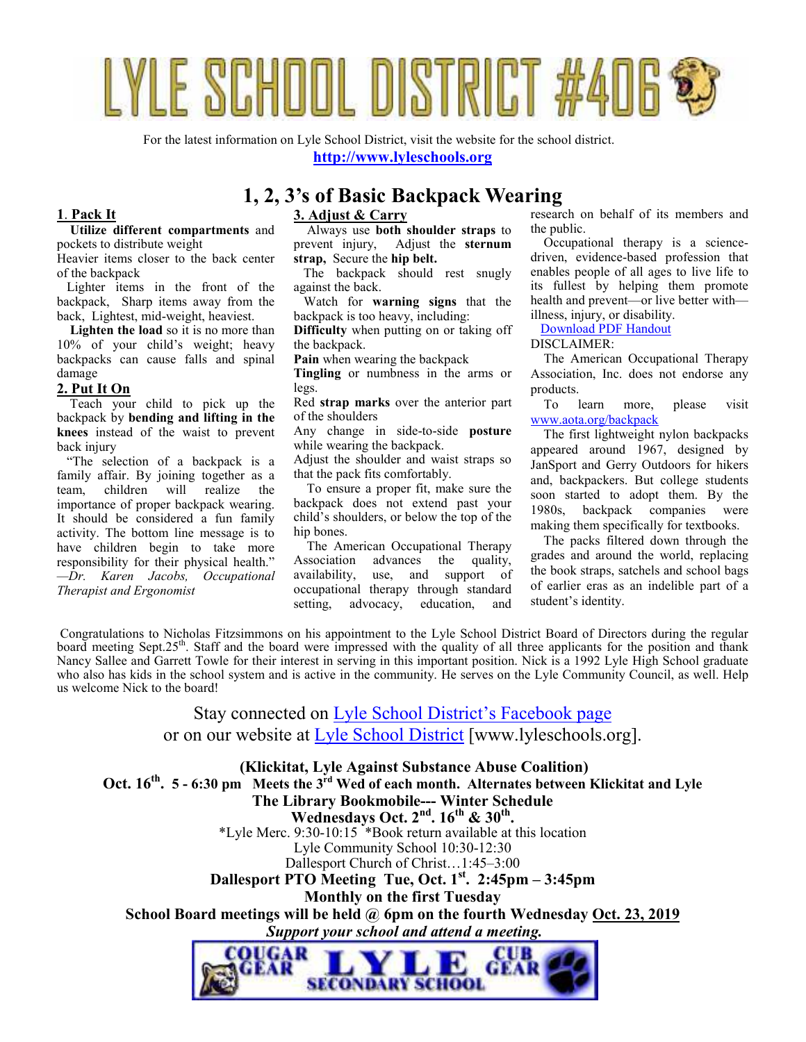# LYLE SCHOOL DISTRICT #406

For the latest information on Lyle School District, visit the website for the school district. **http://www.lyleschools.org**

## **1, 2, 3's of Basic Backpack Wearing**

## **1**. **Pack It**

#### **Utilize different compartments** and

pockets to distribute weight Heavier items closer to the back center of the backpack

 Lighter items in the front of the backpack, Sharp items away from the back, Lightest, mid-weight, heaviest.

 **Lighten the load** so it is no more than 10% of your child's weight; heavy backpacks can cause falls and spinal damage

#### **2. Put It On**

 Teach your child to pick up the backpack by **bending and lifting in the knees** instead of the waist to prevent back injury

 "The selection of a backpack is a family affair. By joining together as a team, children will realize the importance of proper backpack wearing. It should be considered a fun family activity. The bottom line message is to have children begin to take more responsibility for their physical health." *—Dr. Karen Jacobs, Occupational Therapist and Ergonomist*

#### **3. Adjust & Carry**

 Always use **both shoulder straps** to prevent injury, Adjust the **sternum strap,** Secure the **hip belt.**

 The backpack should rest snugly against the back.

 Watch for **warning signs** that the backpack is too heavy, including:

**Difficulty** when putting on or taking off the backpack.

**Pain** when wearing the backpack

**Tingling** or numbness in the arms or legs.

Red **strap marks** over the anterior part of the shoulders

Any change in side-to-side **posture** while wearing the backpack.

Adjust the shoulder and waist straps so that the pack fits comfortably.

 To ensure a proper fit, make sure the backpack does not extend past your child's shoulders, or below the top of the hip bones.

 The American Occupational Therapy Association advances the quality, availability, use, and support of occupational therapy through standard setting, advocacy, education, and research on behalf of its members and the public.

 Occupational therapy is a sciencedriven, evidence-based profession that enables people of all ages to live life to its fullest by helping them promote health and prevent—or live better with illness, injury, or disability.

Download PDF Handout

DISCLAIMER:

 The American Occupational Therapy Association, Inc. does not endorse any products.

 To learn more, please visit www.aota.org/backpack

 The first lightweight nylon backpacks appeared around 1967, designed by JanSport and Gerry Outdoors for hikers and, backpackers. But college students soon started to adopt them. By the 1980s, backpack companies were making them specifically for textbooks.

 The packs filtered down through the grades and around the world, replacing the book straps, satchels and school bags of earlier eras as an indelible part of a student's identity.

 Congratulations to Nicholas Fitzsimmons on his appointment to the Lyle School District Board of Directors during the regular board meeting Sept.25<sup>th</sup>. Staff and the board were impressed with the quality of all three applicants for the position and thank Nancy Sallee and Garrett Towle for their interest in serving in this important position. Nick is a 1992 Lyle High School graduate who also has kids in the school system and is active in the community. He serves on the Lyle Community Council, as well. Help us welcome Nick to the board!

> Stay connected on Lyle School District's Facebook page or on our website at Lyle School District [www.lyleschools.org].

 **(Klickitat, Lyle Against Substance Abuse Coalition) Oct. 16th . 5 - 6:30 pm Meets the 3rd Wed of each month. Alternates between Klickitat and Lyle The Library Bookmobile--- Winter Schedule Wednesdays Oct. 2nd. 16th & 30th .**  \*Lyle Merc. 9:30-10:15  $*$ Book return available at this location Lyle Community School 10:30-12:30 Dallesport Church of Christ…1:45–3:00 **Dallesport PTO Meeting Tue, Oct. 1st. 2:45pm – 3:45pm Monthly on the first Tuesday School Board meetings will be held @ 6pm on the fourth Wednesday Oct. 23, 2019**  *Support your school and attend a meeting.*  OUGAR **CUB** GEAR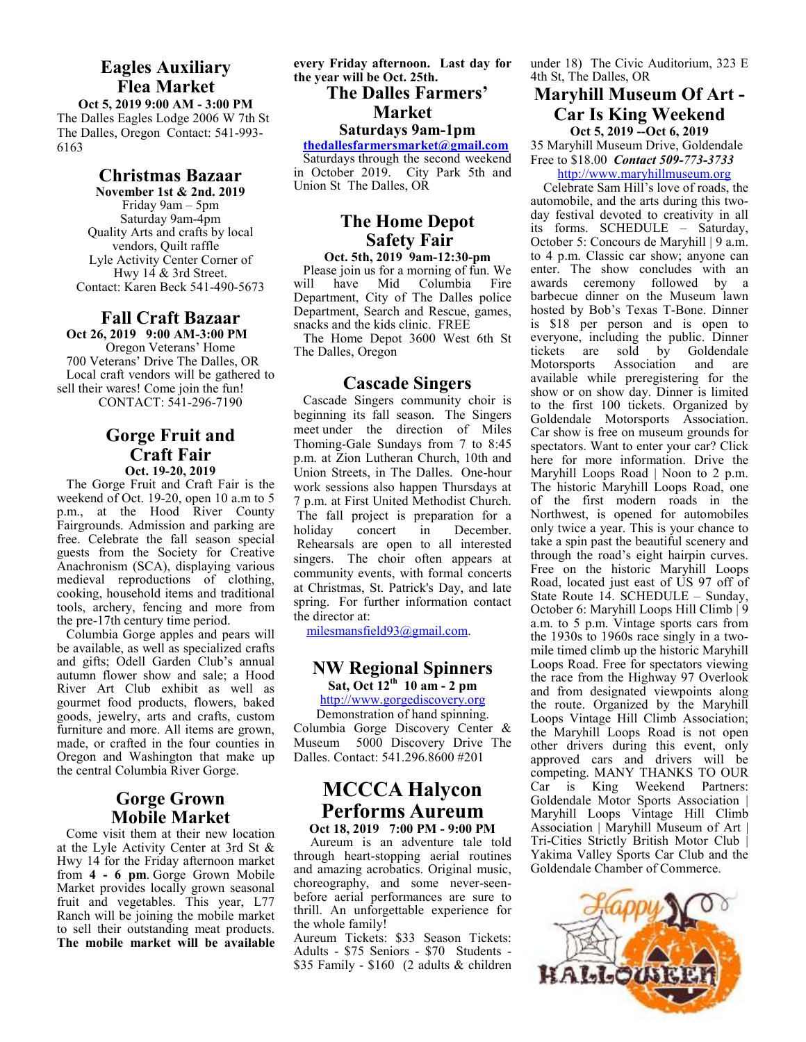## **Eagles Auxiliary Flea Market**

**Oct 5, 2019 9:00 AM - 3:00 PM**  The Dalles Eagles Lodge 2006 W 7th St The Dalles, Oregon Contact: 541-993- 6163

#### **Christmas Bazaar**

**November 1st & 2nd. 2019**  Friday 9am – 5pm Saturday 9am-4pm Quality Arts and crafts by local vendors, Quilt raffle Lyle Activity Center Corner of Hwy 14 & 3rd Street. Contact: Karen Beck 541-490-5673

## **Fall Craft Bazaar Oct 26, 2019 9:00 AM-3:00 PM**

Oregon Veterans' Home 700 Veterans' Drive The Dalles, OR Local craft vendors will be gathered to sell their wares! Come join the fun! CONTACT: 541-296-7190

## **Gorge Fruit and Craft Fair Oct. 19-20, 2019**

The Gorge Fruit and Craft Fair is the weekend of Oct. 19-20, open 10 a.m to 5 p.m., at the Hood River County Fairgrounds. Admission and parking are free. Celebrate the fall season special guests from the Society for Creative Anachronism (SCA), displaying various medieval reproductions of clothing, cooking, household items and traditional tools, archery, fencing and more from the pre-17th century time period.

Columbia Gorge apples and pears will be available, as well as specialized crafts and gifts; Odell Garden Club's annual autumn flower show and sale; a Hood River Art Club exhibit as well as gourmet food products, flowers, baked goods, jewelry, arts and crafts, custom furniture and more. All items are grown, made, or crafted in the four counties in Oregon and Washington that make up the central Columbia River Gorge.

## **Gorge Grown Mobile Market**

Come visit them at their new location at the Lyle Activity Center at 3rd St & Hwy 14 for the Friday afternoon market from **4 - 6 pm**. Gorge Grown Mobile Market provides locally grown seasonal fruit and vegetables. This year, L77 Ranch will be joining the mobile market to sell their outstanding meat products. **The mobile market will be available**  **every Friday afternoon. Last day for the year will be Oct. 25th.**

## **The Dalles Farmers' Market**

## **Saturdays 9am-1pm**

**thedallesfarmersmarket@gmail.com**

Saturdays through the second weekend in October 2019. City Park 5th and Union St The Dalles, OR

## **The Home Depot Safety Fair**

**Oct. 5th, 2019 9am-12:30-pm**  Please join us for a morning of fun. We will have Mid Columbia Fire Department, City of The Dalles police Department, Search and Rescue, games, snacks and the kids clinic. FREE

The Home Depot 3600 West 6th St The Dalles, Oregon

## **Cascade Singers**

Cascade Singers community choir is beginning its fall season. The Singers meet under the direction of Miles Thoming-Gale Sundays from 7 to 8:45 p.m. at Zion Lutheran Church, 10th and Union Streets, in The Dalles. One-hour work sessions also happen Thursdays at 7 p.m. at First United Methodist Church. The fall project is preparation for a<br>holiday concert in December holiday concert in December. Rehearsals are open to all interested singers. The choir often appears at community events, with formal concerts at Christmas, St. Patrick's Day, and late spring. For further information contact the director at:

milesmansfield93@gmail.com.

#### **NW Regional Spinners Sat, Oct 12th 10 am - 2 pm**

#### http://www.gorgediscovery.org

Demonstration of hand spinning. Columbia Gorge Discovery Center & Museum 5000 Discovery Drive The Dalles. Contact: 541.296.8600 #201

## **MCCCA Halycon Performs Aureum**

**Oct 18, 2019 7:00 PM - 9:00 PM**  Aureum is an adventure tale told through heart-stopping aerial routines and amazing acrobatics. Original music, choreography, and some never-seenbefore aerial performances are sure to thrill. An unforgettable experience for the whole family!

Aureum Tickets: \$33 Season Tickets: Adults - \$75 Seniors - \$70 Students - \$35 Family - \$160 (2 adults & children

under 18) The Civic Auditorium, 323 E 4th St, The Dalles, OR

## **Maryhill Museum Of Art - Car Is King Weekend Oct 5, 2019 --Oct 6, 2019**

35 Maryhill Museum Drive, Goldendale Free to \$18.00 *Contact 509-773-3733*

http://www.maryhillmuseum.org

Celebrate Sam Hill's love of roads, the automobile, and the arts during this twoday festival devoted to creativity in all its forms. SCHEDULE – Saturday, October 5: Concours de Maryhill | 9 a.m. to 4 p.m. Classic car show; anyone can enter. The show concludes with an awards ceremony followed by a barbecue dinner on the Museum lawn hosted by Bob's Texas T-Bone. Dinner is \$18 per person and is open to everyone, including the public. Dinner<br>tickets are sold by Goldendale tickets are sold by Gold<br>Motorsports Association and Association and are available while preregistering for the show or on show day. Dinner is limited to the first 100 tickets. Organized by Goldendale Motorsports Association. Car show is free on museum grounds for spectators. Want to enter your car? Click here for more information. Drive the Maryhill Loops Road | Noon to 2 p.m. The historic Maryhill Loops Road, one of the first modern roads in the Northwest, is opened for automobiles only twice a year. This is your chance to take a spin past the beautiful scenery and through the road's eight hairpin curves. Free on the historic Maryhill Loops Road, located just east of US 97 off of State Route 14. SCHEDULE – Sunday, October 6: Maryhill Loops Hill Climb | 9 a.m. to 5 p.m. Vintage sports cars from the 1930s to 1960s race singly in a twomile timed climb up the historic Maryhill Loops Road. Free for spectators viewing the race from the Highway 97 Overlook and from designated viewpoints along the route. Organized by the Maryhill Loops Vintage Hill Climb Association; the Maryhill Loops Road is not open other drivers during this event, only approved cars and drivers will be competing. MANY THANKS TO OUR Car is King Weekend Partners: Goldendale Motor Sports Association | Maryhill Loops Vintage Hill Climb Association | Maryhill Museum of Art | Tri-Cities Strictly British Motor Club | Yakima Valley Sports Car Club and the Goldendale Chamber of Commerce.

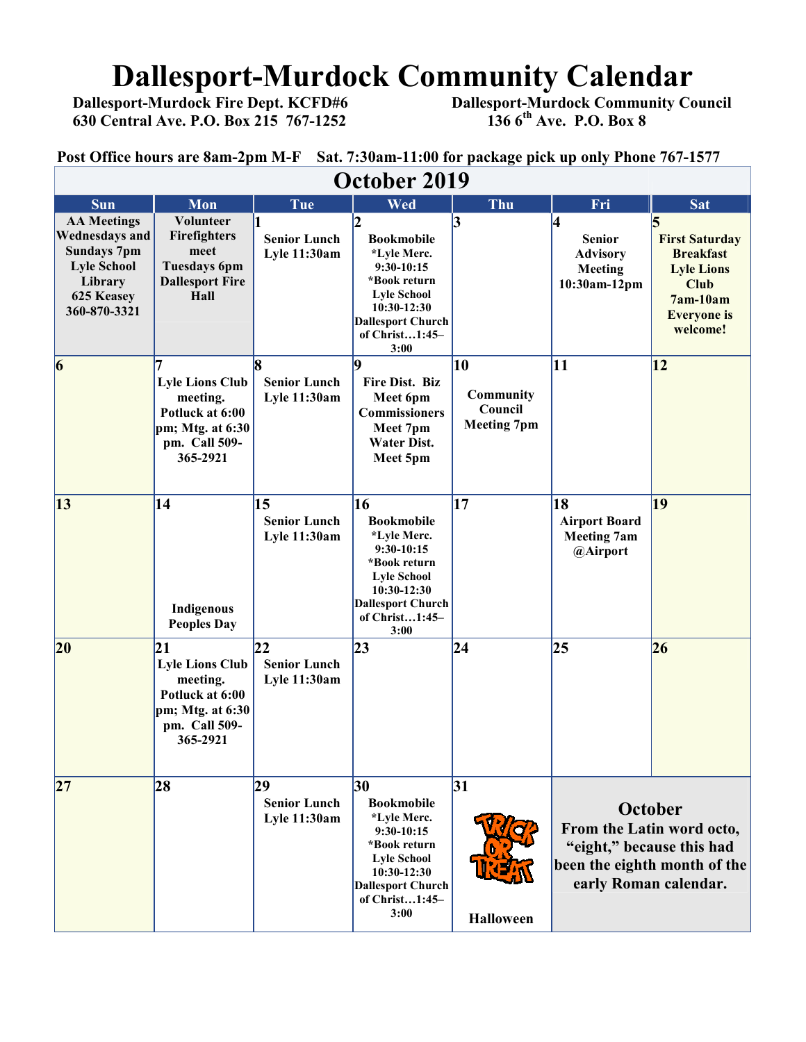## **Dallesport-Murdock Community Calendar**<br>Dallesport-Murdock Fire Dept. KCFD#6 Dallesport-Murdock Community Co

 **630 Central Ave. P.O. Box 215 767-1252 136 6th Ave. P.O. Box 8** 

 **Dallesport-Murdock Community Council 136 6<sup>th</sup> Ave. P.O. Box 8** 

**Post Office hours are 8am-2pm M-F Sat. 7:30am-11:00 for package pick up only Phone 767-1577**

| October 2019                                                                                                                     |                                                                                                                |                                                  |                                                                                                                                                                          |                                                  |                                                                                                                            |                                                                                                                               |  |  |  |
|----------------------------------------------------------------------------------------------------------------------------------|----------------------------------------------------------------------------------------------------------------|--------------------------------------------------|--------------------------------------------------------------------------------------------------------------------------------------------------------------------------|--------------------------------------------------|----------------------------------------------------------------------------------------------------------------------------|-------------------------------------------------------------------------------------------------------------------------------|--|--|--|
| <b>Sun</b>                                                                                                                       | Mon                                                                                                            | Tue                                              | Wed                                                                                                                                                                      | Thu                                              | Fri                                                                                                                        | <b>Sat</b>                                                                                                                    |  |  |  |
| <b>AA Meetings</b><br><b>Wednesdays and</b><br><b>Sundays 7pm</b><br><b>Lyle School</b><br>Library<br>625 Keasey<br>360-870-3321 | Volunteer<br><b>Firefighters</b><br>meet<br><b>Tuesdays 6pm</b><br><b>Dallesport Fire</b><br>Hall              | <b>Senior Lunch</b><br><b>Lyle 11:30am</b>       | <b>Bookmobile</b><br>*Lyle Merc.<br>$9:30-10:15$<br>*Book return<br><b>Lyle School</b><br>10:30-12:30<br><b>Dallesport Church</b><br>of Christ1:45-<br>3:00              | 3                                                | 4<br><b>Senior</b><br><b>Advisory</b><br><b>Meeting</b><br>10:30am-12pm                                                    | <b>First Saturday</b><br><b>Breakfast</b><br><b>Lyle Lions</b><br><b>Club</b><br>$7am-10am$<br><b>Everyone</b> is<br>welcome! |  |  |  |
| $\vert 6 \vert$                                                                                                                  | <b>Lyle Lions Club</b><br>meeting.<br>Potluck at 6:00<br>$pm; Mtg.$ at $6:30$<br>pm. Call 509-<br>365-2921     | l8<br><b>Senior Lunch</b><br><b>Lyle 11:30am</b> | q<br>Fire Dist. Biz<br>Meet 6pm<br><b>Commissioners</b><br>Meet 7pm<br>Water Dist.<br>Meet 5pm                                                                           | 10<br>Community<br>Council<br><b>Meeting 7pm</b> | 11                                                                                                                         | $\overline{12}$                                                                                                               |  |  |  |
| $\vert 13 \vert$                                                                                                                 | 14<br>Indigenous<br><b>Peoples Day</b>                                                                         | 15<br><b>Senior Lunch</b><br>Lyle 11:30am        | <b>16</b><br><b>Bookmobile</b><br>*Lyle Merc.<br>$9:30-10:15$<br>*Book return<br><b>Lyle School</b><br>10:30-12:30<br><b>Dallesport Church</b><br>of Christ1:45-<br>3:00 | 17                                               | 18<br><b>Airport Board</b><br><b>Meeting 7am</b><br>@Airport                                                               | 19                                                                                                                            |  |  |  |
| 20                                                                                                                               | 21<br><b>Lyle Lions Club</b><br>meeting.<br>Potluck at 6:00<br>pm; Mtg. at $6:30$<br>pm. Call 509-<br>365-2921 | 22<br><b>Senior Lunch</b><br>Lyle 11:30am        | 23                                                                                                                                                                       | 24                                               | 25                                                                                                                         | 26                                                                                                                            |  |  |  |
| 27                                                                                                                               | 28                                                                                                             | 29<br><b>Senior Lunch</b><br>Lyle 11:30am        | 30<br><b>Bookmobile</b><br>*Lyle Merc.<br>$9:30-10:15$<br>*Book return<br><b>Lyle School</b><br>10:30-12:30<br><b>Dallesport Church</b><br>of Christ1:45-<br>3:00        | 31<br><b>Halloween</b>                           | October<br>From the Latin word octo,<br>"eight," because this had<br>been the eighth month of the<br>early Roman calendar. |                                                                                                                               |  |  |  |